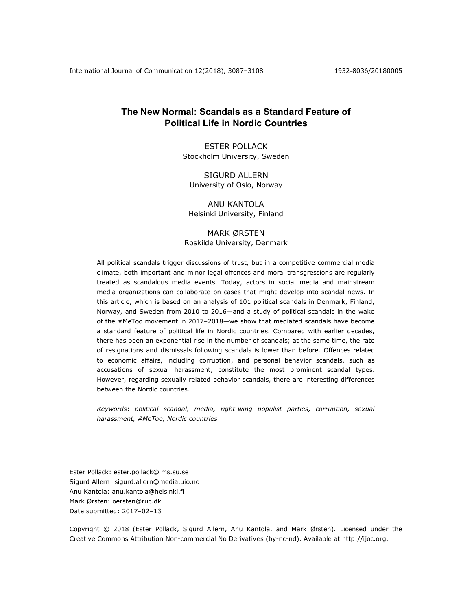# **The New Normal: Scandals as a Standard Feature of Political Life in Nordic Countries**

ESTER POLLACK Stockholm University, Sweden

SIGURD ALLERN University of Oslo, Norway

ANU KANTOLA Helsinki University, Finland

# MARK ØRSTEN Roskilde University, Denmark

All political scandals trigger discussions of trust, but in a competitive commercial media climate, both important and minor legal offences and moral transgressions are regularly treated as scandalous media events. Today, actors in social media and mainstream media organizations can collaborate on cases that might develop into scandal news. In this article, which is based on an analysis of 101 political scandals in Denmark, Finland, Norway, and Sweden from 2010 to 2016—and a study of political scandals in the wake of the #MeToo movement in 2017–2018—we show that mediated scandals have become a standard feature of political life in Nordic countries. Compared with earlier decades, there has been an exponential rise in the number of scandals; at the same time, the rate of resignations and dismissals following scandals is lower than before. Offences related to economic affairs, including corruption, and personal behavior scandals, such as accusations of sexual harassment, constitute the most prominent scandal types. However, regarding sexually related behavior scandals, there are interesting differences between the Nordic countries.

*Keywords*: *political scandal, media, right-wing populist parties, corruption, sexual harassment, #MeToo, Nordic countries*

1

Copyright © 2018 (Ester Pollack, Sigurd Allern, Anu Kantola, and Mark Ørsten). Licensed under the Creative Commons Attribution Non-commercial No Derivatives (by-nc-nd). Available at http://ijoc.org.

Ester Pollack: ester.pollack@ims.su.se

Sigurd Allern: sigurd.allern@media.uio.no

Anu Kantola: anu.kantola@helsinki.fi

Mark Ørsten: oersten@ruc.dk

Date submitted: 2017–02–13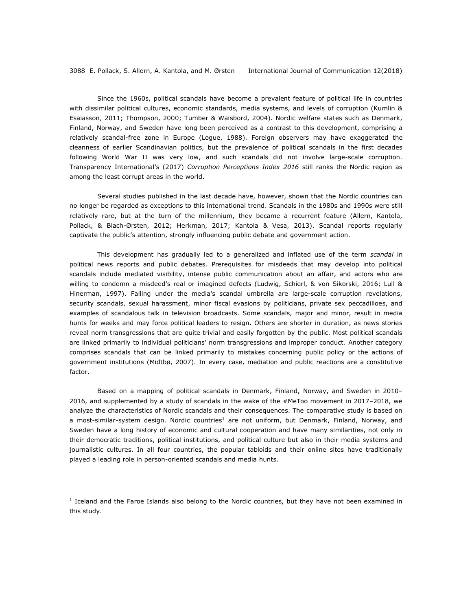Since the 1960s, political scandals have become a prevalent feature of political life in countries with dissimilar political cultures, economic standards, media systems, and levels of corruption (Kumlin & Esaiasson, 2011; Thompson, 2000; Tumber & Waisbord, 2004). Nordic welfare states such as Denmark, Finland, Norway, and Sweden have long been perceived as a contrast to this development, comprising a relatively scandal-free zone in Europe (Logue, 1988). Foreign observers may have exaggerated the cleanness of earlier Scandinavian politics, but the prevalence of political scandals in the first decades following World War II was very low, and such scandals did not involve large-scale corruption. Transparency International's (2017) *Corruption Perceptions Index 2016* still ranks the Nordic region as among the least corrupt areas in the world.

Several studies published in the last decade have, however, shown that the Nordic countries can no longer be regarded as exceptions to this international trend. Scandals in the 1980s and 1990s were still relatively rare, but at the turn of the millennium, they became a recurrent feature (Allern, Kantola, Pollack, & Blach-Ørsten, 2012; Herkman, 2017; Kantola & Vesa, 2013). Scandal reports regularly captivate the public's attention, strongly influencing public debate and government action.

This development has gradually led to a generalized and inflated use of the term *scandal* in political news reports and public debates. Prerequisites for misdeeds that may develop into political scandals include mediated visibility, intense public communication about an affair, and actors who are willing to condemn a misdeed's real or imagined defects (Ludwig, Schierl, & von Sikorski, 2016; Lull & Hinerman, 1997). Falling under the media's scandal umbrella are large-scale corruption revelations, security scandals, sexual harassment, minor fiscal evasions by politicians, private sex peccadilloes, and examples of scandalous talk in television broadcasts. Some scandals, major and minor, result in media hunts for weeks and may force political leaders to resign. Others are shorter in duration, as news stories reveal norm transgressions that are quite trivial and easily forgotten by the public. Most political scandals are linked primarily to individual politicians' norm transgressions and improper conduct. Another category comprises scandals that can be linked primarily to mistakes concerning public policy or the actions of government institutions (Midtbø, 2007). In every case, mediation and public reactions are a constitutive factor.

Based on a mapping of political scandals in Denmark, Finland, Norway, and Sweden in 2010– 2016, and supplemented by a study of scandals in the wake of the #MeToo movement in 2017–2018, we analyze the characteristics of Nordic scandals and their consequences. The comparative study is based on a most-similar-system design. Nordic countries<sup>1</sup> are not uniform, but Denmark, Finland, Norway, and Sweden have a long history of economic and cultural cooperation and have many similarities, not only in their democratic traditions, political institutions, and political culture but also in their media systems and journalistic cultures. In all four countries, the popular tabloids and their online sites have traditionally played a leading role in person-oriented scandals and media hunts.

1

 $<sup>1</sup>$  Iceland and the Faroe Islands also belong to the Nordic countries, but they have not been examined in</sup> this study.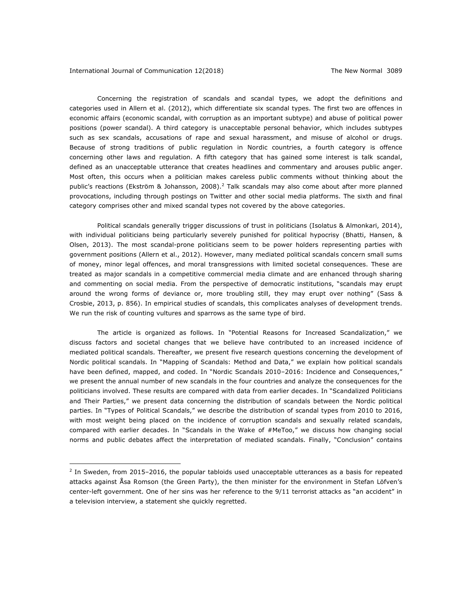1

Concerning the registration of scandals and scandal types, we adopt the definitions and categories used in Allern et al. (2012), which differentiate six scandal types. The first two are offences in economic affairs (economic scandal, with corruption as an important subtype) and abuse of political power positions (power scandal). A third category is unacceptable personal behavior, which includes subtypes such as sex scandals, accusations of rape and sexual harassment, and misuse of alcohol or drugs. Because of strong traditions of public regulation in Nordic countries, a fourth category is offence concerning other laws and regulation. A fifth category that has gained some interest is talk scandal, defined as an unacceptable utterance that creates headlines and commentary and arouses public anger. Most often, this occurs when a politician makes careless public comments without thinking about the public's reactions (Ekström & Johansson, 2008).<sup>2</sup> Talk scandals may also come about after more planned provocations, including through postings on Twitter and other social media platforms. The sixth and final category comprises other and mixed scandal types not covered by the above categories.

Political scandals generally trigger discussions of trust in politicians (Isolatus & Almonkari, 2014), with individual politicians being particularly severely punished for political hypocrisy (Bhatti, Hansen, & Olsen, 2013). The most scandal-prone politicians seem to be power holders representing parties with government positions (Allern et al., 2012). However, many mediated political scandals concern small sums of money, minor legal offences, and moral transgressions with limited societal consequences. These are treated as major scandals in a competitive commercial media climate and are enhanced through sharing and commenting on social media. From the perspective of democratic institutions, "scandals may erupt around the wrong forms of deviance or, more troubling still, they may erupt over nothing" (Sass & Crosbie, 2013, p. 856). In empirical studies of scandals, this complicates analyses of development trends. We run the risk of counting vultures and sparrows as the same type of bird.

The article is organized as follows. In "Potential Reasons for Increased Scandalization," we discuss factors and societal changes that we believe have contributed to an increased incidence of mediated political scandals. Thereafter, we present five research questions concerning the development of Nordic political scandals. In "Mapping of Scandals: Method and Data," we explain how political scandals have been defined, mapped, and coded. In "Nordic Scandals 2010-2016: Incidence and Consequences," we present the annual number of new scandals in the four countries and analyze the consequences for the politicians involved. These results are compared with data from earlier decades. In "Scandalized Politicians and Their Parties," we present data concerning the distribution of scandals between the Nordic political parties. In "Types of Political Scandals," we describe the distribution of scandal types from 2010 to 2016, with most weight being placed on the incidence of corruption scandals and sexually related scandals, compared with earlier decades. In "Scandals in the Wake of #MeToo," we discuss how changing social norms and public debates affect the interpretation of mediated scandals. Finally, "Conclusion" contains

 $<sup>2</sup>$  In Sweden, from 2015–2016, the popular tabloids used unacceptable utterances as a basis for repeated</sup> attacks against Åsa Romson (the Green Party), the then minister for the environment in Stefan Löfven's center-left government. One of her sins was her reference to the 9/11 terrorist attacks as "an accident" in a television interview, a statement she quickly regretted.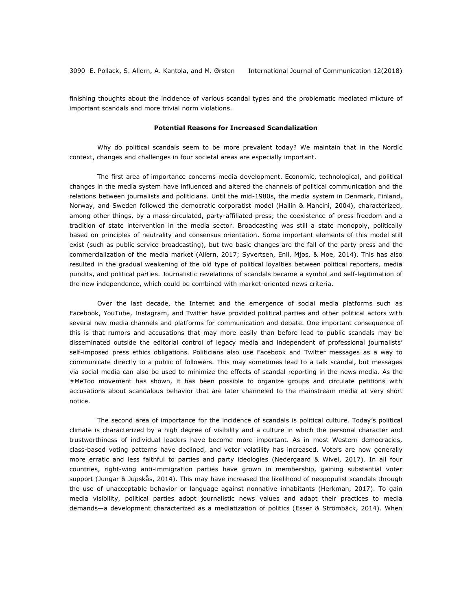finishing thoughts about the incidence of various scandal types and the problematic mediated mixture of important scandals and more trivial norm violations.

## **Potential Reasons for Increased Scandalization**

Why do political scandals seem to be more prevalent today? We maintain that in the Nordic context, changes and challenges in four societal areas are especially important.

The first area of importance concerns media development. Economic, technological, and political changes in the media system have influenced and altered the channels of political communication and the relations between journalists and politicians. Until the mid-1980s, the media system in Denmark, Finland, Norway, and Sweden followed the democratic corporatist model (Hallin & Mancini, 2004), characterized, among other things, by a mass-circulated, party-affiliated press; the coexistence of press freedom and a tradition of state intervention in the media sector. Broadcasting was still a state monopoly, politically based on principles of neutrality and consensus orientation. Some important elements of this model still exist (such as public service broadcasting), but two basic changes are the fall of the party press and the commercialization of the media market (Allern, 2017; Syvertsen, Enli, Mjøs, & Moe, 2014). This has also resulted in the gradual weakening of the old type of political loyalties between political reporters, media pundits, and political parties. Journalistic revelations of scandals became a symbol and self-legitimation of the new independence, which could be combined with market-oriented news criteria.

Over the last decade, the Internet and the emergence of social media platforms such as Facebook, YouTube, Instagram, and Twitter have provided political parties and other political actors with several new media channels and platforms for communication and debate. One important consequence of this is that rumors and accusations that may more easily than before lead to public scandals may be disseminated outside the editorial control of legacy media and independent of professional journalists' self-imposed press ethics obligations. Politicians also use Facebook and Twitter messages as a way to communicate directly to a public of followers. This may sometimes lead to a talk scandal, but messages via social media can also be used to minimize the effects of scandal reporting in the news media. As the #MeToo movement has shown, it has been possible to organize groups and circulate petitions with accusations about scandalous behavior that are later channeled to the mainstream media at very short notice.

The second area of importance for the incidence of scandals is political culture. Today's political climate is characterized by a high degree of visibility and a culture in which the personal character and trustworthiness of individual leaders have become more important. As in most Western democracies, class-based voting patterns have declined, and voter volatility has increased. Voters are now generally more erratic and less faithful to parties and party ideologies (Nedergaard & Wivel, 2017). In all four countries, right-wing anti-immigration parties have grown in membership, gaining substantial voter support (Jungar & Jupskås, 2014). This may have increased the likelihood of neopopulist scandals through the use of unacceptable behavior or language against nonnative inhabitants (Herkman, 2017). To gain media visibility, political parties adopt journalistic news values and adapt their practices to media demands—a development characterized as a mediatization of politics (Esser & Strömbäck, 2014). When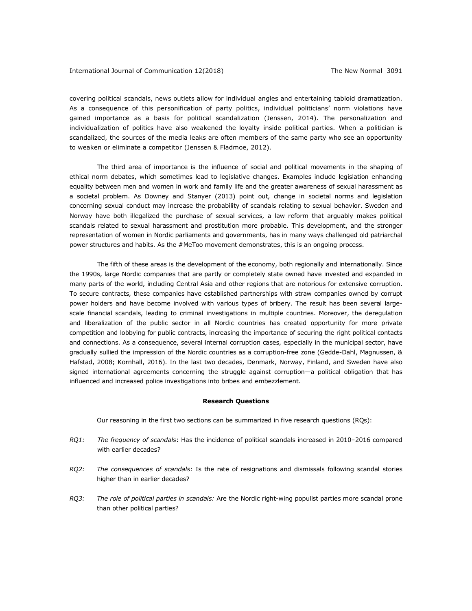covering political scandals, news outlets allow for individual angles and entertaining tabloid dramatization. As a consequence of this personification of party politics, individual politicians' norm violations have gained importance as a basis for political scandalization (Jenssen, 2014). The personalization and individualization of politics have also weakened the loyalty inside political parties. When a politician is scandalized, the sources of the media leaks are often members of the same party who see an opportunity to weaken or eliminate a competitor (Jenssen & Fladmoe, 2012).

The third area of importance is the influence of social and political movements in the shaping of ethical norm debates, which sometimes lead to legislative changes. Examples include legislation enhancing equality between men and women in work and family life and the greater awareness of sexual harassment as a societal problem. As Downey and Stanyer (2013) point out, change in societal norms and legislation concerning sexual conduct may increase the probability of scandals relating to sexual behavior. Sweden and Norway have both illegalized the purchase of sexual services, a law reform that arguably makes political scandals related to sexual harassment and prostitution more probable. This development, and the stronger representation of women in Nordic parliaments and governments, has in many ways challenged old patriarchal power structures and habits. As the #MeToo movement demonstrates, this is an ongoing process.

The fifth of these areas is the development of the economy, both regionally and internationally. Since the 1990s, large Nordic companies that are partly or completely state owned have invested and expanded in many parts of the world, including Central Asia and other regions that are notorious for extensive corruption. To secure contracts, these companies have established partnerships with straw companies owned by corrupt power holders and have become involved with various types of bribery. The result has been several largescale financial scandals, leading to criminal investigations in multiple countries. Moreover, the deregulation and liberalization of the public sector in all Nordic countries has created opportunity for more private competition and lobbying for public contracts, increasing the importance of securing the right political contacts and connections. As a consequence, several internal corruption cases, especially in the municipal sector, have gradually sullied the impression of the Nordic countries as a corruption-free zone (Gedde-Dahl, Magnussen, & Hafstad, 2008; Kornhall, 2016). In the last two decades, Denmark, Norway, Finland, and Sweden have also signed international agreements concerning the struggle against corruption—a political obligation that has influenced and increased police investigations into bribes and embezzlement.

## **Research Questions**

Our reasoning in the first two sections can be summarized in five research questions (RQs):

- *RQ1: The frequency of scandals*: Has the incidence of political scandals increased in 2010–2016 compared with earlier decades?
- *RQ2: The consequences of scandals*: Is the rate of resignations and dismissals following scandal stories higher than in earlier decades?
- *RQ3: The role of political parties in scandals:* Are the Nordic right-wing populist parties more scandal prone than other political parties?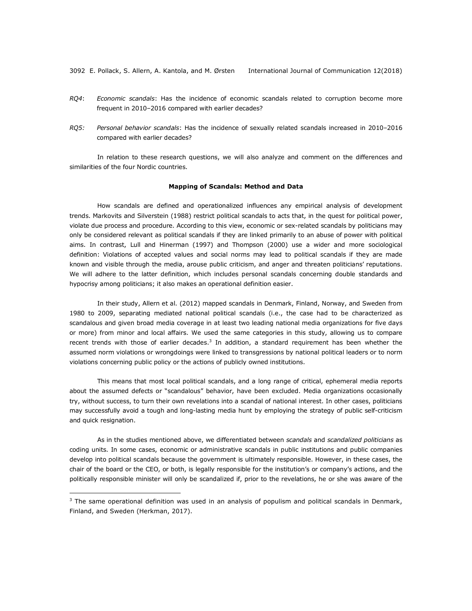3092 E. Pollack, S. Allern, A. Kantola, and M. Ørsten International Journal of Communication 12(2018)

- *RQ4*: *Economic scandals*: Has the incidence of economic scandals related to corruption become more frequent in 2010–2016 compared with earlier decades?
- *RQ5: Personal behavior scandals*: Has the incidence of sexually related scandals increased in 2010–2016 compared with earlier decades?

In relation to these research questions, we will also analyze and comment on the differences and similarities of the four Nordic countries.

## **Mapping of Scandals: Method and Data**

How scandals are defined and operationalized influences any empirical analysis of development trends. Markovits and Silverstein (1988) restrict political scandals to acts that, in the quest for political power, violate due process and procedure. According to this view, economic or sex-related scandals by politicians may only be considered relevant as political scandals if they are linked primarily to an abuse of power with political aims. In contrast, Lull and Hinerman (1997) and Thompson (2000) use a wider and more sociological definition: Violations of accepted values and social norms may lead to political scandals if they are made known and visible through the media, arouse public criticism, and anger and threaten politicians' reputations. We will adhere to the latter definition, which includes personal scandals concerning double standards and hypocrisy among politicians; it also makes an operational definition easier.

In their study, Allern et al. (2012) mapped scandals in Denmark, Finland, Norway, and Sweden from 1980 to 2009, separating mediated national political scandals (i.e., the case had to be characterized as scandalous and given broad media coverage in at least two leading national media organizations for five days or more) from minor and local affairs. We used the same categories in this study, allowing us to compare recent trends with those of earlier decades.<sup>3</sup> In addition, a standard requirement has been whether the assumed norm violations or wrongdoings were linked to transgressions by national political leaders or to norm violations concerning public policy or the actions of publicly owned institutions.

This means that most local political scandals, and a long range of critical, ephemeral media reports about the assumed defects or "scandalous" behavior, have been excluded. Media organizations occasionally try, without success, to turn their own revelations into a scandal of national interest. In other cases, politicians may successfully avoid a tough and long-lasting media hunt by employing the strategy of public self-criticism and quick resignation.

As in the studies mentioned above, we differentiated between *scandals* and *scandalized politicians* as coding units. In some cases, economic or administrative scandals in public institutions and public companies develop into political scandals because the government is ultimately responsible. However, in these cases, the chair of the board or the CEO, or both, is legally responsible for the institution's or company's actions, and the politically responsible minister will only be scandalized if, prior to the revelations, he or she was aware of the

1

 $3$  The same operational definition was used in an analysis of populism and political scandals in Denmark, Finland, and Sweden (Herkman, 2017).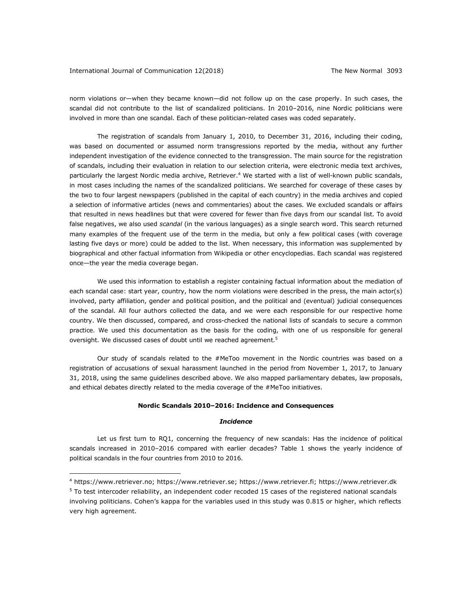1

norm violations or—when they became known—did not follow up on the case properly. In such cases, the scandal did not contribute to the list of scandalized politicians. In 2010–2016, nine Nordic politicians were involved in more than one scandal. Each of these politician-related cases was coded separately.

The registration of scandals from January 1, 2010, to December 31, 2016, including their coding, was based on documented or assumed norm transgressions reported by the media, without any further independent investigation of the evidence connected to the transgression. The main source for the registration of scandals, including their evaluation in relation to our selection criteria, were electronic media text archives, particularly the largest Nordic media archive, Retriever.<sup>4</sup> We started with a list of well-known public scandals, in most cases including the names of the scandalized politicians. We searched for coverage of these cases by the two to four largest newspapers (published in the capital of each country) in the media archives and copied a selection of informative articles (news and commentaries) about the cases. We excluded scandals or affairs that resulted in news headlines but that were covered for fewer than five days from our scandal list. To avoid false negatives, we also used *scandal* (in the various languages) as a single search word. This search returned many examples of the frequent use of the term in the media, but only a few political cases (with coverage lasting five days or more) could be added to the list. When necessary, this information was supplemented by biographical and other factual information from Wikipedia or other encyclopedias. Each scandal was registered once—the year the media coverage began.

We used this information to establish a register containing factual information about the mediation of each scandal case: start year, country, how the norm violations were described in the press, the main actor(s) involved, party affiliation, gender and political position, and the political and (eventual) judicial consequences of the scandal. All four authors collected the data, and we were each responsible for our respective home country. We then discussed, compared, and cross-checked the national lists of scandals to secure a common practice. We used this documentation as the basis for the coding, with one of us responsible for general oversight. We discussed cases of doubt until we reached agreement.<sup>5</sup>

Our study of scandals related to the #MeToo movement in the Nordic countries was based on a registration of accusations of sexual harassment launched in the period from November 1, 2017, to January 31, 2018, using the same guidelines described above. We also mapped parliamentary debates, law proposals, and ethical debates directly related to the media coverage of the #MeToo initiatives.

## **Nordic Scandals 2010–2016: Incidence and Consequences**

#### *Incidence*

Let us first turn to RQ1, concerning the frequency of new scandals: Has the incidence of political scandals increased in 2010–2016 compared with earlier decades? Table 1 shows the yearly incidence of political scandals in the four countries from 2010 to 2016.

<sup>4</sup> https://www.retriever.no; https://www.retriever.se; https://www.retriever.fi; https://www.retriever.dk  $5$  To test intercoder reliability, an independent coder recoded 15 cases of the registered national scandals involving politicians. Cohen's kappa for the variables used in this study was 0.815 or higher, which reflects very high agreement.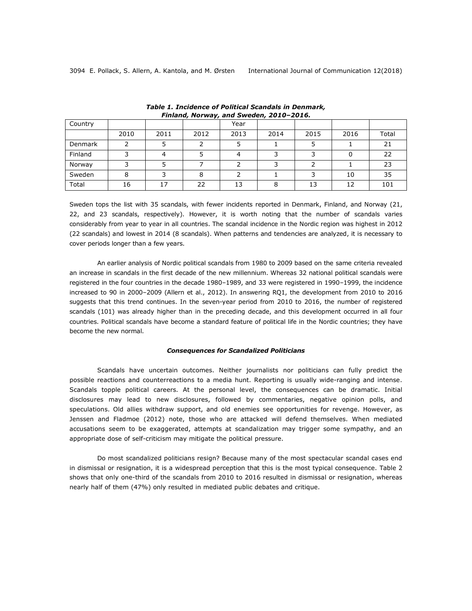| Country |      |      | . .  | Year |      |      |      |       |
|---------|------|------|------|------|------|------|------|-------|
|         | 2010 | 2011 | 2012 | 2013 | 2014 | 2015 | 2016 | Total |
| Denmark |      |      |      |      |      |      |      | 21    |
| Finland |      |      |      |      |      |      |      | 22    |
| Norway  |      |      |      |      |      |      |      | 23    |
| Sweden  | 8    |      | 8    |      |      |      | 10   | 35    |
| Total   | 16   | 17   | 22   | 13   |      | 13   | 12   | 101   |

*Table 1. Incidence of Political Scandals in Denmark, Finland, Norway, and Sweden, 2010–2016.*

Sweden tops the list with 35 scandals, with fewer incidents reported in Denmark, Finland, and Norway (21, 22, and 23 scandals, respectively). However, it is worth noting that the number of scandals varies considerably from year to year in all countries. The scandal incidence in the Nordic region was highest in 2012 (22 scandals) and lowest in 2014 (8 scandals). When patterns and tendencies are analyzed, it is necessary to cover periods longer than a few years.

An earlier analysis of Nordic political scandals from 1980 to 2009 based on the same criteria revealed an increase in scandals in the first decade of the new millennium. Whereas 32 national political scandals were registered in the four countries in the decade 1980–1989, and 33 were registered in 1990–1999, the incidence increased to 90 in 2000–2009 (Allern et al., 2012). In answering RQ1, the development from 2010 to 2016 suggests that this trend continues. In the seven-year period from 2010 to 2016, the number of registered scandals (101) was already higher than in the preceding decade, and this development occurred in all four countries. Political scandals have become a standard feature of political life in the Nordic countries; they have become the new normal.

## *Consequences for Scandalized Politicians*

Scandals have uncertain outcomes. Neither journalists nor politicians can fully predict the possible reactions and counterreactions to a media hunt. Reporting is usually wide-ranging and intense. Scandals topple political careers. At the personal level, the consequences can be dramatic. Initial disclosures may lead to new disclosures, followed by commentaries, negative opinion polls, and speculations. Old allies withdraw support, and old enemies see opportunities for revenge. However, as Jenssen and Fladmoe (2012) note, those who are attacked will defend themselves. When mediated accusations seem to be exaggerated, attempts at scandalization may trigger some sympathy, and an appropriate dose of self-criticism may mitigate the political pressure.

Do most scandalized politicians resign? Because many of the most spectacular scandal cases end in dismissal or resignation, it is a widespread perception that this is the most typical consequence. Table 2 shows that only one-third of the scandals from 2010 to 2016 resulted in dismissal or resignation, whereas nearly half of them (47%) only resulted in mediated public debates and critique.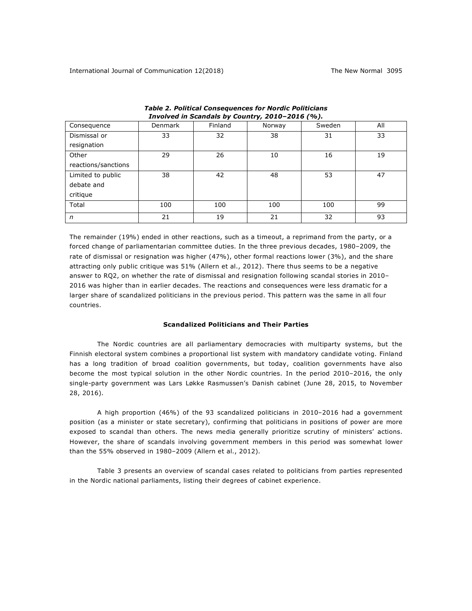| Consequence         | <b>Denmark</b> | Finland | -- 11<br>Norway | Sweden | All |
|---------------------|----------------|---------|-----------------|--------|-----|
| Dismissal or        | 33             | 32      | 38              | 31     | 33  |
| resignation         |                |         |                 |        |     |
| Other               | 29             | 26      | 10              | 16     | 19  |
| reactions/sanctions |                |         |                 |        |     |
| Limited to public   | 38             | 42      | 48              | 53     | 47  |
| debate and          |                |         |                 |        |     |
| critique            |                |         |                 |        |     |
| Total               | 100            | 100     | 100             | 100    | 99  |
| n                   | 21             | 19      | 21              | 32     | 93  |

*Table 2. Political Consequences for Nordic Politicians Involved in Scandals by Country, 2010–2016 (%).*

The remainder (19%) ended in other reactions, such as a timeout, a reprimand from the party, or a forced change of parliamentarian committee duties. In the three previous decades, 1980–2009, the rate of dismissal or resignation was higher (47%), other formal reactions lower (3%), and the share attracting only public critique was 51% (Allern et al., 2012). There thus seems to be a negative answer to RQ2, on whether the rate of dismissal and resignation following scandal stories in 2010– 2016 was higher than in earlier decades. The reactions and consequences were less dramatic for a larger share of scandalized politicians in the previous period. This pattern was the same in all four countries.

## **Scandalized Politicians and Their Parties**

The Nordic countries are all parliamentary democracies with multiparty systems, but the Finnish electoral system combines a proportional list system with mandatory candidate voting. Finland has a long tradition of broad coalition governments, but today, coalition governments have also become the most typical solution in the other Nordic countries. In the period 2010–2016, the only single-party government was Lars Løkke Rasmussen's Danish cabinet (June 28, 2015, to November 28, 2016).

A high proportion (46%) of the 93 scandalized politicians in 2010–2016 had a government position (as a minister or state secretary), confirming that politicians in positions of power are more exposed to scandal than others. The news media generally prioritize scrutiny of ministers' actions. However, the share of scandals involving government members in this period was somewhat lower than the 55% observed in 1980–2009 (Allern et al., 2012).

Table 3 presents an overview of scandal cases related to politicians from parties represented in the Nordic national parliaments, listing their degrees of cabinet experience.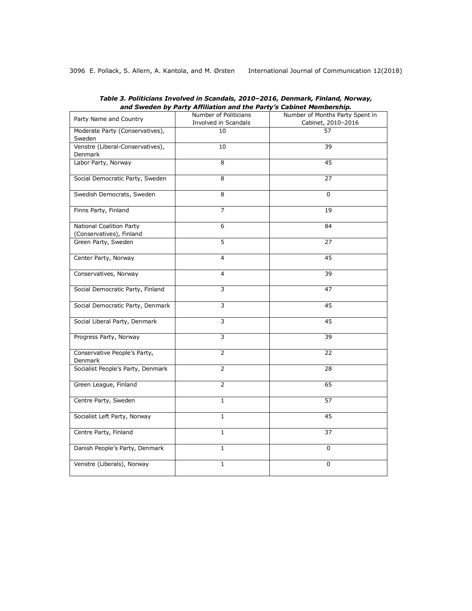|                                                      | and Sweden by Party Anniation and the Party S Cabinet Membership. |                                 |  |
|------------------------------------------------------|-------------------------------------------------------------------|---------------------------------|--|
| Party Name and Country                               | Number of Politicians                                             | Number of Months Party Spent in |  |
|                                                      | Involved in Scandals                                              | Cabinet, 2010-2016              |  |
| Moderate Party (Conservatives),<br>Sweden            | 10                                                                | 57                              |  |
| Venstre (Liberal-Conservatives),<br>Denmark          | 10                                                                | 39                              |  |
| Labor Party, Norway                                  | 8                                                                 | 45                              |  |
| Social Democratic Party, Sweden                      | $\overline{8}$                                                    | 27                              |  |
| Swedish Democrats, Sweden                            | 8                                                                 | $\mathbf{0}$                    |  |
| Finns Party, Finland                                 | $\overline{7}$                                                    | 19                              |  |
| National Coalition Party<br>(Conservatives), Finland | 6                                                                 | 84                              |  |
| Green Party, Sweden                                  | $\overline{5}$                                                    | 27                              |  |
| Center Party, Norway                                 | 4                                                                 | 45                              |  |
| Conservatives, Norway                                | 4                                                                 | 39                              |  |
| Social Democratic Party, Finland                     | 3                                                                 | 47                              |  |
| Social Democratic Party, Denmark                     | 3                                                                 | 45                              |  |
| Social Liberal Party, Denmark                        | $\overline{\mathbf{3}}$                                           | 45                              |  |
| Progress Party, Norway                               | 3                                                                 | 39                              |  |
| Conservative People's Party,<br>Denmark              | $\overline{2}$                                                    | 22                              |  |
| Socialist People's Party, Denmark                    | 2                                                                 | 28                              |  |
| Green League, Finland                                | $\overline{2}$                                                    | 65                              |  |
| Centre Party, Sweden                                 | $\mathbf{1}$                                                      | 57                              |  |
| Socialist Left Party, Norway                         | $\mathbf{1}$                                                      | 45                              |  |
| Centre Party, Finland                                | 1                                                                 | 37                              |  |
| Danish People's Party, Denmark                       | $\mathbf 1$                                                       | 0                               |  |
| Venstre (Liberals), Norway                           | $\mathbf{1}$                                                      | $\mathbf 0$                     |  |

*Table 3. Politicians Involved in Scandals, 2010–2016, Denmark, Finland, Norway, and Sweden by Party Affiliation and the Party's Cabinet Membership.*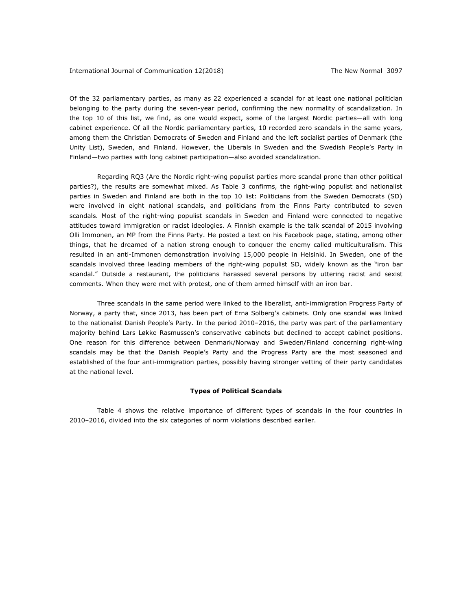Of the 32 parliamentary parties, as many as 22 experienced a scandal for at least one national politician belonging to the party during the seven-year period, confirming the new normality of scandalization. In the top 10 of this list, we find, as one would expect, some of the largest Nordic parties—all with long cabinet experience. Of all the Nordic parliamentary parties, 10 recorded zero scandals in the same years, among them the Christian Democrats of Sweden and Finland and the left socialist parties of Denmark (the Unity List), Sweden, and Finland. However, the Liberals in Sweden and the Swedish People's Party in Finland—two parties with long cabinet participation—also avoided scandalization.

Regarding RQ3 (Are the Nordic right-wing populist parties more scandal prone than other political parties?), the results are somewhat mixed. As Table 3 confirms, the right-wing populist and nationalist parties in Sweden and Finland are both in the top 10 list: Politicians from the Sweden Democrats (SD) were involved in eight national scandals, and politicians from the Finns Party contributed to seven scandals. Most of the right-wing populist scandals in Sweden and Finland were connected to negative attitudes toward immigration or racist ideologies. A Finnish example is the talk scandal of 2015 involving Olli Immonen, an MP from the Finns Party. He posted a text on his Facebook page, stating, among other things, that he dreamed of a nation strong enough to conquer the enemy called multiculturalism. This resulted in an anti-Immonen demonstration involving 15,000 people in Helsinki. In Sweden, one of the scandals involved three leading members of the right-wing populist SD, widely known as the "iron bar scandal." Outside a restaurant, the politicians harassed several persons by uttering racist and sexist comments. When they were met with protest, one of them armed himself with an iron bar.

Three scandals in the same period were linked to the liberalist, anti-immigration Progress Party of Norway, a party that, since 2013, has been part of Erna Solberg's cabinets. Only one scandal was linked to the nationalist Danish People's Party. In the period 2010–2016, the party was part of the parliamentary majority behind Lars Løkke Rasmussen's conservative cabinets but declined to accept cabinet positions. One reason for this difference between Denmark/Norway and Sweden/Finland concerning right-wing scandals may be that the Danish People's Party and the Progress Party are the most seasoned and established of the four anti-immigration parties, possibly having stronger vetting of their party candidates at the national level.

# **Types of Political Scandals**

Table 4 shows the relative importance of different types of scandals in the four countries in 2010–2016, divided into the six categories of norm violations described earlier.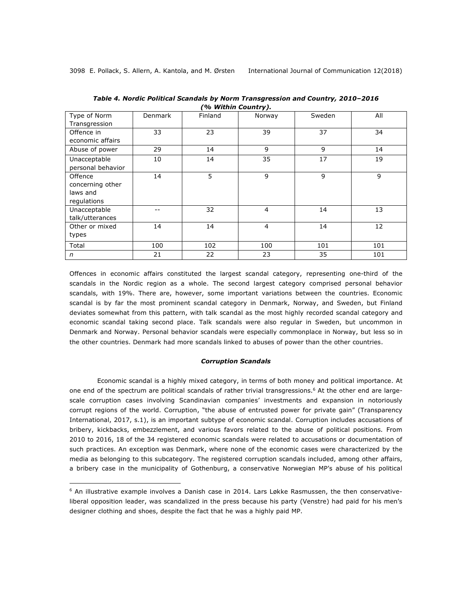<u>.</u>

| Type of Norm<br>Transgression | <b>Denmark</b> | Finland | Norway         | Sweden | All |
|-------------------------------|----------------|---------|----------------|--------|-----|
|                               |                |         |                |        |     |
| Offence in                    | 33             | 23      | 39             | 37     | 34  |
| economic affairs              |                |         |                |        |     |
| Abuse of power                | 29             | 14      | 9              | 9      | 14  |
| Unacceptable                  | 10             | 14      | 35             | 17     | 19  |
| personal behavior             |                |         |                |        |     |
|                               |                |         |                |        |     |
| Offence                       | 14             | 5       | 9              | 9      | 9   |
| concerning other              |                |         |                |        |     |
| laws and                      |                |         |                |        |     |
| regulations                   |                |         |                |        |     |
| Unacceptable                  |                | 32      | $\overline{4}$ | 14     | 13  |
| talk/utterances               |                |         |                |        |     |
| Other or mixed                | 14             | 14      | $\overline{4}$ | 14     | 12  |
| types                         |                |         |                |        |     |
| Total                         | 100            | 102     | 100            | 101    | 101 |
| $\sqrt{n}$                    | 21             | 22      | 23             | 35     | 101 |

*Table 4. Nordic Political Scandals by Norm Transgression and Country, 2010–2016 (% Within Country).*

Offences in economic affairs constituted the largest scandal category, representing one-third of the scandals in the Nordic region as a whole. The second largest category comprised personal behavior scandals, with 19%. There are, however, some important variations between the countries. Economic scandal is by far the most prominent scandal category in Denmark, Norway, and Sweden, but Finland deviates somewhat from this pattern, with talk scandal as the most highly recorded scandal category and economic scandal taking second place. Talk scandals were also regular in Sweden, but uncommon in Denmark and Norway. Personal behavior scandals were especially commonplace in Norway, but less so in the other countries. Denmark had more scandals linked to abuses of power than the other countries.

## *Corruption Scandals*

Economic scandal is a highly mixed category, in terms of both money and political importance. At one end of the spectrum are political scandals of rather trivial transgressions.<sup>6</sup> At the other end are largescale corruption cases involving Scandinavian companies' investments and expansion in notoriously corrupt regions of the world. Corruption, "the abuse of entrusted power for private gain" (Transparency International, 2017, s.1), is an important subtype of economic scandal. Corruption includes accusations of bribery, kickbacks, embezzlement, and various favors related to the abuse of political positions. From 2010 to 2016, 18 of the 34 registered economic scandals were related to accusations or documentation of such practices. An exception was Denmark, where none of the economic cases were characterized by the media as belonging to this subcategory. The registered corruption scandals included, among other affairs, a bribery case in the municipality of Gothenburg, a conservative Norwegian MP's abuse of his political

 $6$  An illustrative example involves a Danish case in 2014. Lars Løkke Rasmussen, the then conservativeliberal opposition leader, was scandalized in the press because his party (Venstre) had paid for his men's designer clothing and shoes, despite the fact that he was a highly paid MP.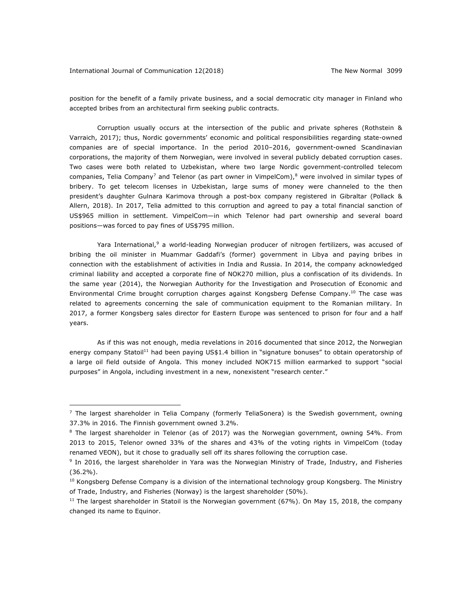<u>.</u>

position for the benefit of a family private business, and a social democratic city manager in Finland who accepted bribes from an architectural firm seeking public contracts.

Corruption usually occurs at the intersection of the public and private spheres (Rothstein & Varraich, 2017); thus, Nordic governments' economic and political responsibilities regarding state-owned companies are of special importance. In the period 2010–2016, government-owned Scandinavian corporations, the majority of them Norwegian, were involved in several publicly debated corruption cases. Two cases were both related to Uzbekistan, where two large Nordic government-controlled telecom companies, Telia Company<sup>7</sup> and Telenor (as part owner in VimpelCom),<sup>8</sup> were involved in similar types of bribery. To get telecom licenses in Uzbekistan, large sums of money were channeled to the then president's daughter Gulnara Karimova through a post-box company registered in Gibraltar (Pollack & Allern, 2018). In 2017, Telia admitted to this corruption and agreed to pay a total financial sanction of US\$965 million in settlement. VimpelCom—in which Telenor had part ownership and several board positions—was forced to pay fines of US\$795 million.

Yara International,<sup>9</sup> a world-leading Norwegian producer of nitrogen fertilizers, was accused of bribing the oil minister in Muammar Gaddafi's (former) government in Libya and paying bribes in connection with the establishment of activities in India and Russia. In 2014, the company acknowledged criminal liability and accepted a corporate fine of NOK270 million, plus a confiscation of its dividends. In the same year (2014), the Norwegian Authority for the Investigation and Prosecution of Economic and Environmental Crime brought corruption charges against Kongsberg Defense Company.10 The case was related to agreements concerning the sale of communication equipment to the Romanian military. In 2017, a former Kongsberg sales director for Eastern Europe was sentenced to prison for four and a half years.

As if this was not enough, media revelations in 2016 documented that since 2012, the Norwegian energy company Statoil<sup>11</sup> had been paying US\$1.4 billion in "signature bonuses" to obtain operatorship of a large oil field outside of Angola. This money included NOK715 million earmarked to support "social purposes" in Angola, including investment in a new, nonexistent "research center."

 $<sup>7</sup>$  The largest shareholder in Telia Company (formerly TeliaSonera) is the Swedish government, owning</sup> 37.3% in 2016. The Finnish government owned 3.2%.

 $8$  The largest shareholder in Telenor (as of 2017) was the Norwegian government, owning 54%. From 2013 to 2015, Telenor owned 33% of the shares and 43% of the voting rights in VimpelCom (today renamed VEON), but it chose to gradually sell off its shares following the corruption case.

<sup>&</sup>lt;sup>9</sup> In 2016, the largest shareholder in Yara was the Norwegian Ministry of Trade, Industry, and Fisheries (36.2%).

 $10$  Kongsberg Defense Company is a division of the international technology group Kongsberg. The Ministry of Trade, Industry, and Fisheries (Norway) is the largest shareholder (50%).

 $11$  The largest shareholder in Statoil is the Norwegian government (67%). On May 15, 2018, the company changed its name to Equinor.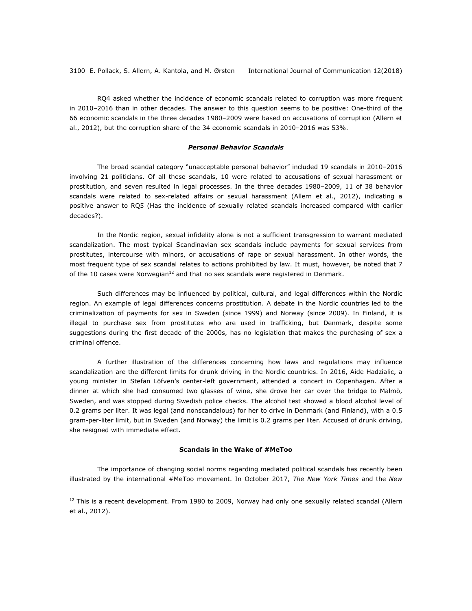RQ4 asked whether the incidence of economic scandals related to corruption was more frequent in 2010–2016 than in other decades. The answer to this question seems to be positive: One-third of the 66 economic scandals in the three decades 1980–2009 were based on accusations of corruption (Allern et al., 2012), but the corruption share of the 34 economic scandals in 2010–2016 was 53%.

# *Personal Behavior Scandals*

The broad scandal category "unacceptable personal behavior" included 19 scandals in 2010–2016 involving 21 politicians. Of all these scandals, 10 were related to accusations of sexual harassment or prostitution, and seven resulted in legal processes. In the three decades 1980–2009, 11 of 38 behavior scandals were related to sex-related affairs or sexual harassment (Allern et al., 2012), indicating a positive answer to RQ5 (Has the incidence of sexually related scandals increased compared with earlier decades?).

In the Nordic region, sexual infidelity alone is not a sufficient transgression to warrant mediated scandalization. The most typical Scandinavian sex scandals include payments for sexual services from prostitutes, intercourse with minors, or accusations of rape or sexual harassment. In other words, the most frequent type of sex scandal relates to actions prohibited by law. It must, however, be noted that 7 of the 10 cases were Norwegian<sup>12</sup> and that no sex scandals were registered in Denmark.

Such differences may be influenced by political, cultural, and legal differences within the Nordic region. An example of legal differences concerns prostitution. A debate in the Nordic countries led to the criminalization of payments for sex in Sweden (since 1999) and Norway (since 2009). In Finland, it is illegal to purchase sex from prostitutes who are used in trafficking, but Denmark, despite some suggestions during the first decade of the 2000s, has no legislation that makes the purchasing of sex a criminal offence.

A further illustration of the differences concerning how laws and regulations may influence scandalization are the different limits for drunk driving in the Nordic countries. In 2016, Aide Hadzialic, a young minister in Stefan Löfven's center-left government, attended a concert in Copenhagen. After a dinner at which she had consumed two glasses of wine, she drove her car over the bridge to Malmö, Sweden, and was stopped during Swedish police checks. The alcohol test showed a blood alcohol level of 0.2 grams per liter. It was legal (and nonscandalous) for her to drive in Denmark (and Finland), with a 0.5 gram-per-liter limit, but in Sweden (and Norway) the limit is 0.2 grams per liter. Accused of drunk driving, she resigned with immediate effect.

## **Scandals in the Wake of #MeToo**

The importance of changing social norms regarding mediated political scandals has recently been illustrated by the international #MeToo movement. In October 2017, *The New York Times* and the *New* 

1

 $12$  This is a recent development. From 1980 to 2009, Norway had only one sexually related scandal (Allern et al., 2012).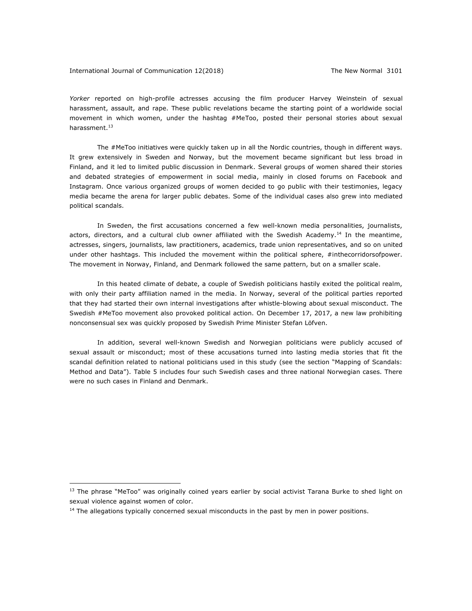*Yorker* reported on high-profile actresses accusing the film producer Harvey Weinstein of sexual harassment, assault, and rape. These public revelations became the starting point of a worldwide social movement in which women, under the hashtag #MeToo, posted their personal stories about sexual harassment.<sup>13</sup>

The #MeToo initiatives were quickly taken up in all the Nordic countries, though in different ways. It grew extensively in Sweden and Norway, but the movement became significant but less broad in Finland, and it led to limited public discussion in Denmark. Several groups of women shared their stories and debated strategies of empowerment in social media, mainly in closed forums on Facebook and Instagram. Once various organized groups of women decided to go public with their testimonies, legacy media became the arena for larger public debates. Some of the individual cases also grew into mediated political scandals.

In Sweden, the first accusations concerned a few well-known media personalities, journalists, actors, directors, and a cultural club owner affiliated with the Swedish Academy.<sup>14</sup> In the meantime, actresses, singers, journalists, law practitioners, academics, trade union representatives, and so on united under other hashtags. This included the movement within the political sphere, #inthecorridorsofpower. The movement in Norway, Finland, and Denmark followed the same pattern, but on a smaller scale.

In this heated climate of debate, a couple of Swedish politicians hastily exited the political realm, with only their party affiliation named in the media. In Norway, several of the political parties reported that they had started their own internal investigations after whistle-blowing about sexual misconduct. The Swedish #MeToo movement also provoked political action. On December 17, 2017, a new law prohibiting nonconsensual sex was quickly proposed by Swedish Prime Minister Stefan Löfven.

In addition, several well-known Swedish and Norwegian politicians were publicly accused of sexual assault or misconduct; most of these accusations turned into lasting media stories that fit the scandal definition related to national politicians used in this study (see the section "Mapping of Scandals: Method and Data"). Table 5 includes four such Swedish cases and three national Norwegian cases. There were no such cases in Finland and Denmark.

<u>.</u>

<sup>&</sup>lt;sup>13</sup> The phrase "MeToo" was originally coined years earlier by social activist Tarana Burke to shed light on sexual violence against women of color.

 $<sup>14</sup>$  The allegations typically concerned sexual misconducts in the past by men in power positions.</sup>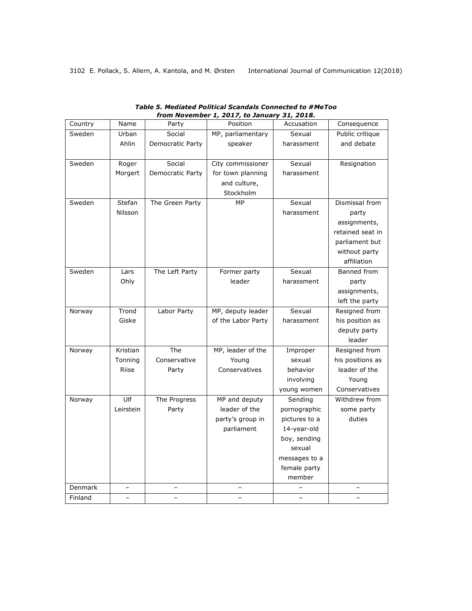| Country | Name              | Party                   | $\frac{1}{2}$ 2017, to samaary 01, 2010,<br>Position | Accusation    | Consequence      |
|---------|-------------------|-------------------------|------------------------------------------------------|---------------|------------------|
| Sweden  | Urban             | Social                  | MP, parliamentary                                    | Sexual        | Public critique  |
|         | Ahlin             | Democratic Party        | speaker                                              | harassment    | and debate       |
|         |                   |                         |                                                      |               |                  |
| Sweden  | Roger             | Social                  | City commissioner                                    | Sexual        | Resignation      |
|         | Morgert           | Democratic Party        | for town planning                                    | harassment    |                  |
|         |                   |                         | and culture,                                         |               |                  |
|         |                   |                         | Stockholm                                            |               |                  |
| Sweden  | Stefan            | The Green Party         | MP                                                   | Sexual        | Dismissal from   |
|         | Nilsson           |                         |                                                      | harassment    | party            |
|         |                   |                         |                                                      |               | assignments,     |
|         |                   |                         |                                                      |               | retained seat in |
|         |                   |                         |                                                      |               | parliament but   |
|         |                   |                         |                                                      |               | without party    |
|         |                   |                         |                                                      |               | affiliation      |
| Sweden  | Lars              | The Left Party          | Former party                                         | Sexual        | Banned from      |
|         | Ohly              |                         | leader                                               | harassment    | party            |
|         |                   |                         |                                                      |               | assignments,     |
|         |                   |                         |                                                      |               | left the party   |
| Norway  | Trond             | Labor Party             | MP, deputy leader                                    | Sexual        | Resigned from    |
|         | Giske             |                         | of the Labor Party                                   | harassment    | his position as  |
|         |                   |                         |                                                      |               | deputy party     |
|         |                   |                         |                                                      |               | leader           |
| Norway  | Kristian          | $\overline{\text{The}}$ | MP, leader of the                                    | Improper      | Resigned from    |
|         | Tonning           | Conservative            | Young                                                | sexual        | his positions as |
|         | <b>Riise</b>      | Party                   | Conservatives                                        | behavior      | leader of the    |
|         |                   |                         |                                                      | involving     | Young            |
|         |                   |                         |                                                      |               |                  |
|         | U                 |                         | MP and deputy                                        | young women   | Conservatives    |
| Norway  | Leirstein         | The Progress            |                                                      | Sending       | Withdrew from    |
|         |                   | Party                   | leader of the                                        | pornographic  | some party       |
|         |                   |                         | party's group in                                     | pictures to a | duties           |
|         |                   |                         | parliament                                           | 14-year-old   |                  |
|         |                   |                         |                                                      | boy, sending  |                  |
|         |                   |                         |                                                      | sexual        |                  |
|         |                   |                         |                                                      | messages to a |                  |
|         |                   |                         |                                                      | female party  |                  |
|         |                   |                         |                                                      | member        |                  |
| Denmark |                   |                         |                                                      |               |                  |
| Finland | $\qquad \qquad -$ |                         |                                                      |               |                  |

| Table 5. Mediated Political Scandals Connected to #MeToo |
|----------------------------------------------------------|
| from November 1, 2017, to January 31, 2018.              |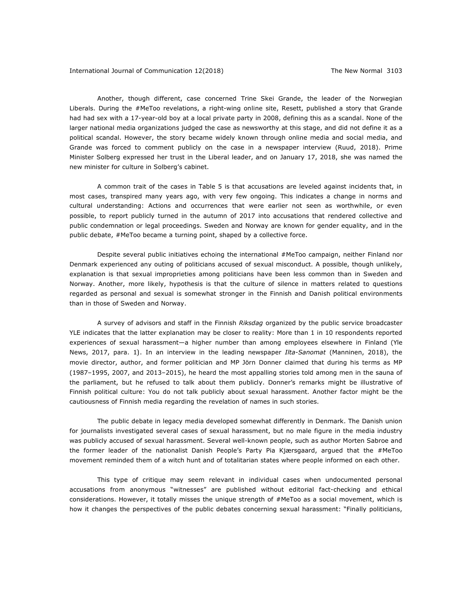Another, though different, case concerned Trine Skei Grande, the leader of the Norwegian Liberals. During the #MeToo revelations, a right-wing online site, Resett, published a story that Grande had had sex with a 17-year-old boy at a local private party in 2008, defining this as a scandal. None of the larger national media organizations judged the case as newsworthy at this stage, and did not define it as a political scandal. However, the story became widely known through online media and social media, and Grande was forced to comment publicly on the case in a newspaper interview (Ruud, 2018). Prime Minister Solberg expressed her trust in the Liberal leader, and on January 17, 2018, she was named the new minister for culture in Solberg's cabinet.

A common trait of the cases in Table 5 is that accusations are leveled against incidents that, in most cases, transpired many years ago, with very few ongoing. This indicates a change in norms and cultural understanding: Actions and occurrences that were earlier not seen as worthwhile, or even possible, to report publicly turned in the autumn of 2017 into accusations that rendered collective and public condemnation or legal proceedings. Sweden and Norway are known for gender equality, and in the public debate, #MeToo became a turning point, shaped by a collective force.

Despite several public initiatives echoing the international #MeToo campaign, neither Finland nor Denmark experienced any outing of politicians accused of sexual misconduct. A possible, though unlikely, explanation is that sexual improprieties among politicians have been less common than in Sweden and Norway. Another, more likely, hypothesis is that the culture of silence in matters related to questions regarded as personal and sexual is somewhat stronger in the Finnish and Danish political environments than in those of Sweden and Norway.

A survey of advisors and staff in the Finnish *Riksdag* organized by the public service broadcaster YLE indicates that the latter explanation may be closer to reality: More than 1 in 10 respondents reported experiences of sexual harassment—a higher number than among employees elsewhere in Finland (Yle News, 2017, para. 1). In an interview in the leading newspaper *Ilta-Sanomat* (Manninen, 2018), the movie director, author, and former politician and MP Jörn Donner claimed that during his terms as MP (1987–1995, 2007, and 2013–2015), he heard the most appalling stories told among men in the sauna of the parliament, but he refused to talk about them publicly. Donner's remarks might be illustrative of Finnish political culture: You do not talk publicly about sexual harassment. Another factor might be the cautiousness of Finnish media regarding the revelation of names in such stories.

The public debate in legacy media developed somewhat differently in Denmark. The Danish union for journalists investigated several cases of sexual harassment, but no male figure in the media industry was publicly accused of sexual harassment. Several well-known people, such as author Morten Sabroe and the former leader of the nationalist Danish People's Party Pia Kjærsgaard, argued that the #MeToo movement reminded them of a witch hunt and of totalitarian states where people informed on each other.

This type of critique may seem relevant in individual cases when undocumented personal accusations from anonymous "witnesses" are published without editorial fact-checking and ethical considerations. However, it totally misses the unique strength of #MeToo as a social movement, which is how it changes the perspectives of the public debates concerning sexual harassment: "Finally politicians,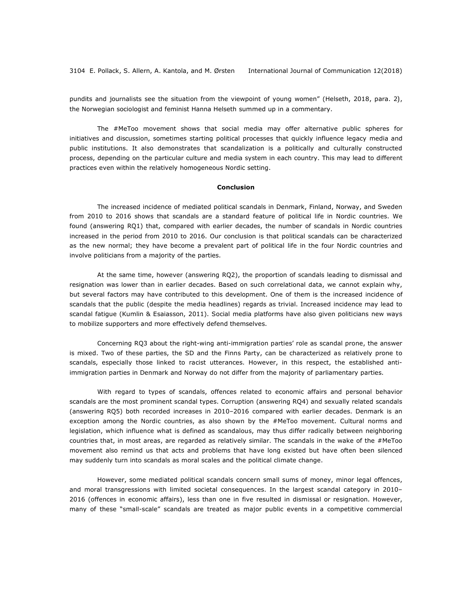pundits and journalists see the situation from the viewpoint of young women" (Helseth, 2018, para. 2), the Norwegian sociologist and feminist Hanna Helseth summed up in a commentary.

The #MeToo movement shows that social media may offer alternative public spheres for initiatives and discussion, sometimes starting political processes that quickly influence legacy media and public institutions. It also demonstrates that scandalization is a politically and culturally constructed process, depending on the particular culture and media system in each country. This may lead to different practices even within the relatively homogeneous Nordic setting.

## **Conclusion**

The increased incidence of mediated political scandals in Denmark, Finland, Norway, and Sweden from 2010 to 2016 shows that scandals are a standard feature of political life in Nordic countries. We found (answering RQ1) that, compared with earlier decades, the number of scandals in Nordic countries increased in the period from 2010 to 2016. Our conclusion is that political scandals can be characterized as the new normal; they have become a prevalent part of political life in the four Nordic countries and involve politicians from a majority of the parties.

At the same time, however (answering RQ2), the proportion of scandals leading to dismissal and resignation was lower than in earlier decades. Based on such correlational data, we cannot explain why, but several factors may have contributed to this development. One of them is the increased incidence of scandals that the public (despite the media headlines) regards as trivial. Increased incidence may lead to scandal fatigue (Kumlin & Esaiasson, 2011). Social media platforms have also given politicians new ways to mobilize supporters and more effectively defend themselves.

Concerning RQ3 about the right-wing anti-immigration parties' role as scandal prone, the answer is mixed. Two of these parties, the SD and the Finns Party, can be characterized as relatively prone to scandals, especially those linked to racist utterances. However, in this respect, the established antiimmigration parties in Denmark and Norway do not differ from the majority of parliamentary parties.

With regard to types of scandals, offences related to economic affairs and personal behavior scandals are the most prominent scandal types. Corruption (answering RQ4) and sexually related scandals (answering RQ5) both recorded increases in 2010–2016 compared with earlier decades. Denmark is an exception among the Nordic countries, as also shown by the #MeToo movement. Cultural norms and legislation, which influence what is defined as scandalous, may thus differ radically between neighboring countries that, in most areas, are regarded as relatively similar. The scandals in the wake of the #MeToo movement also remind us that acts and problems that have long existed but have often been silenced may suddenly turn into scandals as moral scales and the political climate change.

However, some mediated political scandals concern small sums of money, minor legal offences, and moral transgressions with limited societal consequences. In the largest scandal category in 2010– 2016 (offences in economic affairs), less than one in five resulted in dismissal or resignation. However, many of these "small-scale" scandals are treated as major public events in a competitive commercial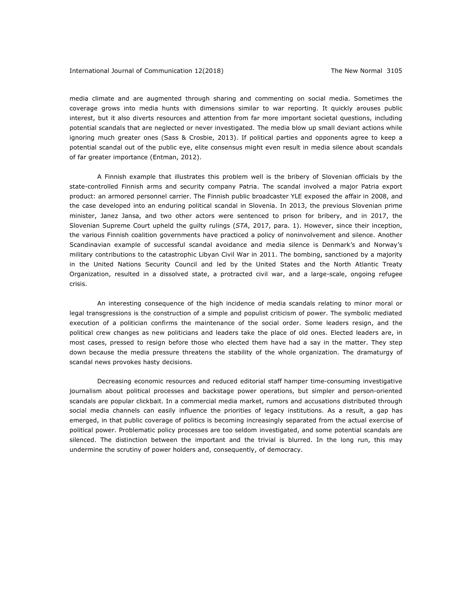media climate and are augmented through sharing and commenting on social media. Sometimes the coverage grows into media hunts with dimensions similar to war reporting. It quickly arouses public interest, but it also diverts resources and attention from far more important societal questions, including potential scandals that are neglected or never investigated. The media blow up small deviant actions while ignoring much greater ones (Sass & Crosbie, 2013). If political parties and opponents agree to keep a potential scandal out of the public eye, elite consensus might even result in media silence about scandals of far greater importance (Entman, 2012).

A Finnish example that illustrates this problem well is the bribery of Slovenian officials by the state-controlled Finnish arms and security company Patria. The scandal involved a major Patria export product: an armored personnel carrier. The Finnish public broadcaster YLE exposed the affair in 2008, and the case developed into an enduring political scandal in Slovenia. In 2013, the previous Slovenian prime minister, Janez Jansa, and two other actors were sentenced to prison for bribery, and in 2017, the Slovenian Supreme Court upheld the guilty rulings (*STA*, 2017, para. 1). However, since their inception, the various Finnish coalition governments have practiced a policy of noninvolvement and silence. Another Scandinavian example of successful scandal avoidance and media silence is Denmark's and Norway's military contributions to the catastrophic Libyan Civil War in 2011. The bombing, sanctioned by a majority in the United Nations Security Council and led by the United States and the North Atlantic Treaty Organization, resulted in a dissolved state, a protracted civil war, and a large-scale, ongoing refugee crisis.

An interesting consequence of the high incidence of media scandals relating to minor moral or legal transgressions is the construction of a simple and populist criticism of power. The symbolic mediated execution of a politician confirms the maintenance of the social order. Some leaders resign, and the political crew changes as new politicians and leaders take the place of old ones. Elected leaders are, in most cases, pressed to resign before those who elected them have had a say in the matter. They step down because the media pressure threatens the stability of the whole organization. The dramaturgy of scandal news provokes hasty decisions.

Decreasing economic resources and reduced editorial staff hamper time-consuming investigative journalism about political processes and backstage power operations, but simpler and person-oriented scandals are popular clickbait. In a commercial media market, rumors and accusations distributed through social media channels can easily influence the priorities of legacy institutions. As a result, a gap has emerged, in that public coverage of politics is becoming increasingly separated from the actual exercise of political power. Problematic policy processes are too seldom investigated, and some potential scandals are silenced. The distinction between the important and the trivial is blurred. In the long run, this may undermine the scrutiny of power holders and, consequently, of democracy.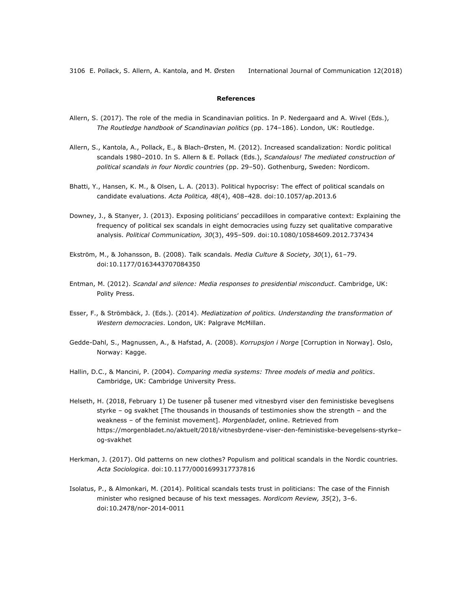# **References**

- Allern, S. (2017). The role of the media in Scandinavian politics. In P. Nedergaard and A. Wivel (Eds.), *The Routledge handbook of Scandinavian politics* (pp. 174–186). London, UK: Routledge.
- Allern, S., Kantola, A., Pollack, E., & Blach-Ørsten, M. (2012). Increased scandalization: Nordic political scandals 1980–2010. In S. Allern & E. Pollack (Eds.), *Scandalous! The mediated construction of political scandals in four Nordic countries* (pp. 29–50). Gothenburg, Sweden: Nordicom.
- Bhatti, Y., Hansen, K. M., & Olsen, L. A. (2013). Political hypocrisy: The effect of political scandals on candidate evaluations. *Acta Politica, 48*(4), 408–428. doi:10.1057/ap.2013.6
- Downey, J., & Stanyer, J. (2013). Exposing politicians' peccadilloes in comparative context: Explaining the frequency of political sex scandals in eight democracies using fuzzy set qualitative comparative analysis. *Political Communication, 30*(3), 495–509. doi:10.1080/10584609.2012.737434
- Ekström, M., & Johansson, B. (2008). Talk scandals. *Media Culture & Society, 30*(1), 61–79. doi:10.1177/0163443707084350
- Entman, M. (2012). *Scandal and silence: Media responses to presidential misconduct*. Cambridge, UK: Polity Press.
- Esser, F., & Strömbäck, J. (Eds.). (2014). *Mediatization of politics. Understanding the transformation of Western democracies*. London, UK: Palgrave McMillan.
- Gedde-Dahl, S., Magnussen, A., & Hafstad, A. (2008). *Korrupsjon i Norge* [Corruption in Norway]. Oslo, Norway: Kagge.
- Hallin, D.C., & Mancini, P. (2004). *Comparing media systems: Three models of media and politics*. Cambridge, UK: Cambridge University Press.
- Helseth, H. (2018, February 1) De tusener på tusener med vitnesbyrd viser den feministiske beveglsens styrke – og svakhet [The thousands in thousands of testimonies show the strength – and the weakness – of the feminist movement]. *Morgenbladet*, online. Retrieved from https://morgenbladet.no/aktuelt/2018/vitnesbyrdene-viser-den-feministiske-bevegelsens-styrke– og-svakhet
- Herkman, J. (2017). Old patterns on new clothes? Populism and political scandals in the Nordic countries. *Acta Sociologica*. doi:10.1177/0001699317737816
- Isolatus, P., & Almonkari, M. (2014). Political scandals tests trust in politicians: The case of the Finnish minister who resigned because of his text messages. *Nordicom Review, 35*(2), 3–6. doi:10.2478/nor-2014-0011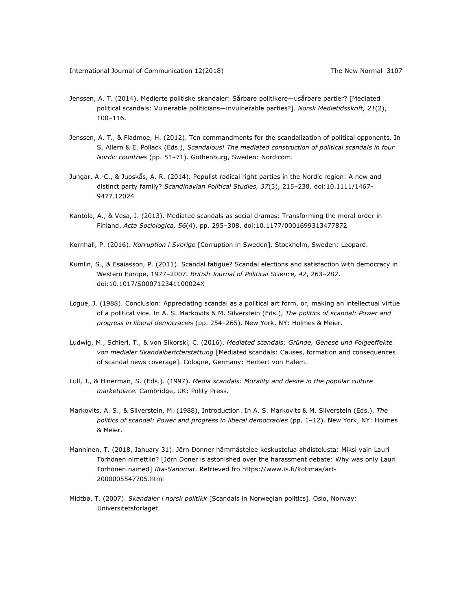- Jenssen, A. T. (2014). Medierte politiske skandaler: Sårbare politikere—usårbare partier? [Mediated political scandals: Vulnerable politicians—invulnerable parties?]. *Norsk Medietidsskrift, 21*(2), 100–116.
- Jenssen, A. T., & Fladmoe, H. (2012). Ten commandments for the scandalization of political opponents. In S. Allern & E. Pollack (Eds.), *Scandalous! The mediated construction of political scandals in four Nordic countries* (pp. 51–71). Gothenburg, Sweden: Nordicom.
- Jungar, A.-C., & Jupskås, A. R. (2014). Populist radical right parties in the Nordic region: A new and distinct party family? *Scandinavian Political Studies, 37*(3), 215–238. doi:10.1111/1467- 9477.12024
- Kantola, A., & Vesa, J. (2013). Mediated scandals as social dramas: Transforming the moral order in Finland. *Acta Sociologica, 56*(4), pp. 295–308. doi:10.1177/0001699313477872
- Kornhall, P. (2016). *Korruption i Sverige* [Corruption in Sweden]. Stockholm, Sweden: Leopard.
- Kumlin, S., & Esaiasson, P. (2011). Scandal fatigue? Scandal elections and satisfaction with democracy in Western Europe, 1977–2007. *British Journal of Political Science, 42*, 263–282. doi:10.1017/S000712341100024X
- Logue, J. (1988). Conclusion: Appreciating scandal as a political art form, or, making an intellectual virtue of a political vice. In A. S. Markovits & M. Silverstein (Eds.), *The politics of scandal: Power and progress in liberal democracies* (pp. 254–265). New York, NY: Holmes & Meier.
- Ludwig, M., Schierl, T., & von Sikorski, C. (2016). *Mediated scandals: Gründe, Genese und Folgeeffekte von medialer Skandalbericterstattung* [Mediated scandals: Causes, formation and consequences of scandal news coverage]*.* Cologne, Germany: Herbert von Halem.
- Lull, J., & Hinerman, S. (Eds.). (1997). *Media scandals: Morality and desire in the popular culture marketplace.* Cambridge, UK: Polity Press.
- Markovits, A. S., & Silverstein, M. (1988), Introduction. In A. S. Markovits & M. Silverstein (Eds.), *The politics of scandal: Power and progress in liberal democracies* (pp. 1–12). New York, NY: Holmes & Meier.
- Manninen, T. (2018, January 31). Jörn Donner hämmästelee keskustelua ahdistelusta: Miksi vain Lauri Törhönen nimettiin? [Jörn Doner is astonished over the harassment debate: Why was only Lauri Törhönen named] *Ilta-Sanomat*. Retrieved fro https://www.is.fi/kotimaa/art-2000005547705.html
- Midtbø, T. (2007). *Skandaler i norsk politikk* [Scandals in Norwegian politics]. Oslo, Norway: Universitetsforlaget.